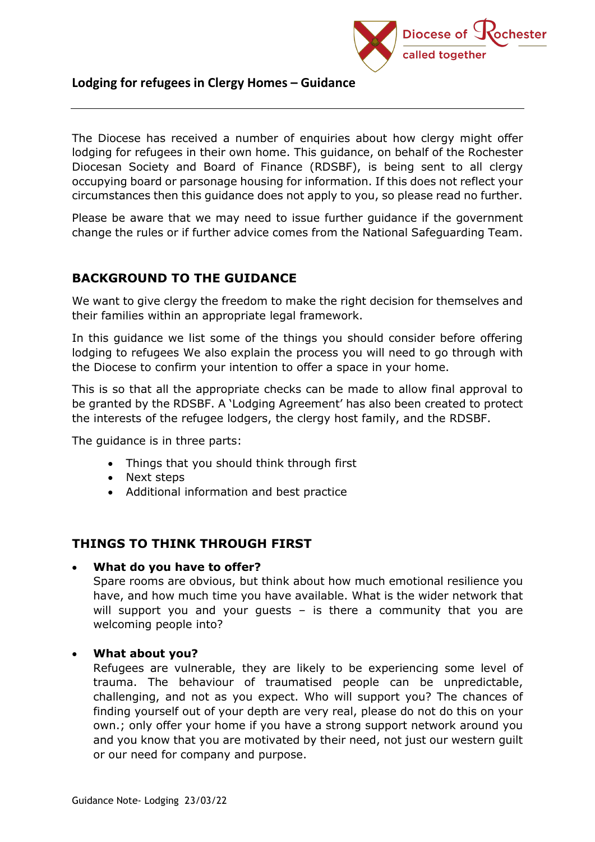

The Diocese has received a number of enquiries about how clergy might offer lodging for refugees in their own home. This guidance, on behalf of the Rochester Diocesan Society and Board of Finance (RDSBF), is being sent to all clergy occupying board or parsonage housing for information. If this does not reflect your circumstances then this guidance does not apply to you, so please read no further.

Please be aware that we may need to issue further guidance if the government change the rules or if further advice comes from the National Safeguarding Team.

# **BACKGROUND TO THE GUIDANCE**

We want to give clergy the freedom to make the right decision for themselves and their families within an appropriate legal framework.

In this guidance we list some of the things you should consider before offering lodging to refugees We also explain the process you will need to go through with the Diocese to confirm your intention to offer a space in your home.

This is so that all the appropriate checks can be made to allow final approval to be granted by the RDSBF. A 'Lodging Agreement' has also been created to protect the interests of the refugee lodgers, the clergy host family, and the RDSBF.

The guidance is in three parts:

- Things that you should think through first
- Next steps
- Additional information and best practice

## **THINGS TO THINK THROUGH FIRST**

#### • **What do you have to offer?**

Spare rooms are obvious, but think about how much emotional resilience you have, and how much time you have available. What is the wider network that will support you and your guests - is there a community that you are welcoming people into?

## • **What about you?**

Refugees are vulnerable, they are likely to be experiencing some level of trauma. The behaviour of traumatised people can be unpredictable, challenging, and not as you expect. Who will support you? The chances of finding yourself out of your depth are very real, please do not do this on your own.; only offer your home if you have a strong support network around you and you know that you are motivated by their need, not just our western quilt or our need for company and purpose.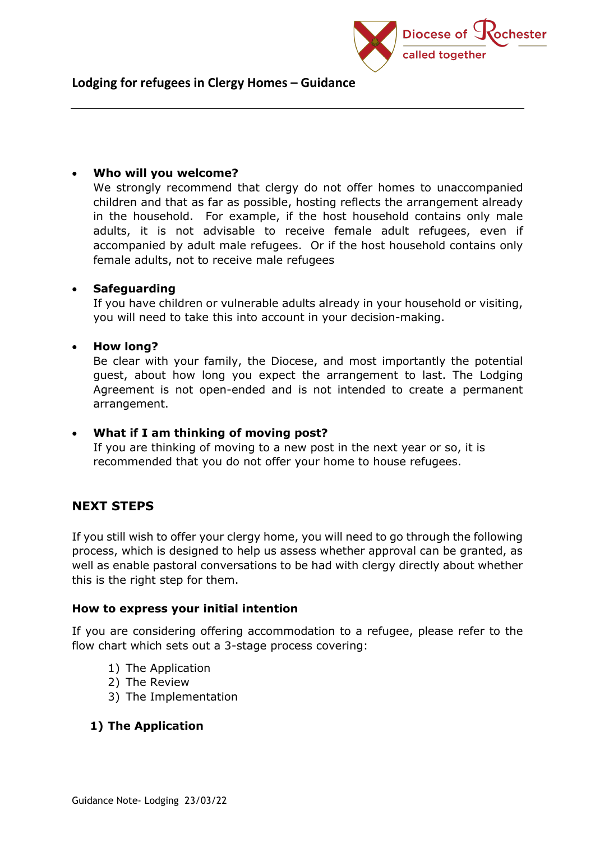

### • **Who will you welcome?**

We strongly recommend that clergy do not offer homes to unaccompanied children and that as far as possible, hosting reflects the arrangement already in the household. For example, if the host household contains only male adults, it is not advisable to receive female adult refugees, even if accompanied by adult male refugees. Or if the host household contains only female adults, not to receive male refugees

## • **Safeguarding**

If you have children or vulnerable adults already in your household or visiting, you will need to take this into account in your decision-making.

### • **How long?**

Be clear with your family, the Diocese, and most importantly the potential guest, about how long you expect the arrangement to last. The Lodging Agreement is not open-ended and is not intended to create a permanent arrangement.

## • **What if I am thinking of moving post?**

If you are thinking of moving to a new post in the next year or so, it is recommended that you do not offer your home to house refugees.

# **NEXT STEPS**

If you still wish to offer your clergy home, you will need to go through the following process, which is designed to help us assess whether approval can be granted, as well as enable pastoral conversations to be had with clergy directly about whether this is the right step for them.

#### **How to express your initial intention**

If you are considering offering accommodation to a refugee, please refer to the flow chart which sets out a 3-stage process covering:

- 1) The Application
- 2) The Review
- 3) The Implementation

## **1) The Application**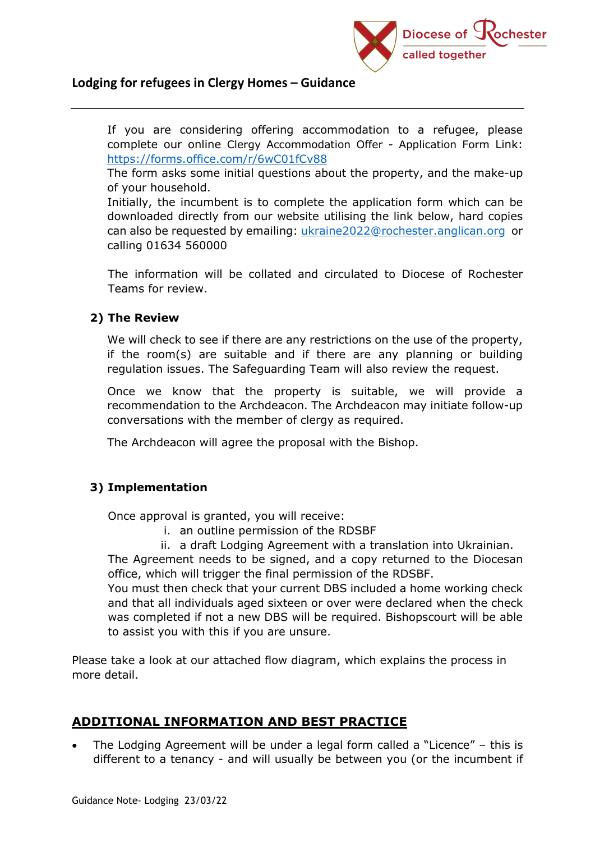

If you are considering offering accommodation to a refugee, please complete our online Clergy Accommodation Offer - Application Form Link: <https://forms.office.com/r/6wC01fCv88>

The form asks some initial questions about the property, and the make-up of your household.

Initially, the incumbent is to complete the application form which can be downloaded directly from our website utilising the link below, hard copies can also be requested by emailing: [ukraine2022@rochester.anglican.org](mailto:ukraine2022@rochester.anglican.org) or calling 01634 560000

The information will be collated and circulated to Diocese of Rochester Teams for review.

### **2) The Review**

We will check to see if there are any restrictions on the use of the property, if the room(s) are suitable and if there are any planning or building regulation issues. The Safeguarding Team will also review the request.

Once we know that the property is suitable, we will provide a recommendation to the Archdeacon. The Archdeacon may initiate follow-up conversations with the member of clergy as required.

The Archdeacon will agree the proposal with the Bishop.

## **3) Implementation**

Once approval is granted, you will receive:

- i. an outline permission of the RDSBF
- ii. a draft Lodging Agreement with a translation into Ukrainian.

The Agreement needs to be signed, and a copy returned to the Diocesan office, which will trigger the final permission of the RDSBF.

You must then check that your current DBS included a home working check and that all individuals aged sixteen or over were declared when the check was completed if not a new DBS will be required. Bishopscourt will be able to assist you with this if you are unsure.

Please take a look at our attached flow diagram, which explains the process in more detail.

# **ADDITIONAL INFORMATION AND BEST PRACTICE**

The Lodging Agreement will be under a legal form called a "Licence"  $-$  this is different to a tenancy - and will usually be between you (or the incumbent if